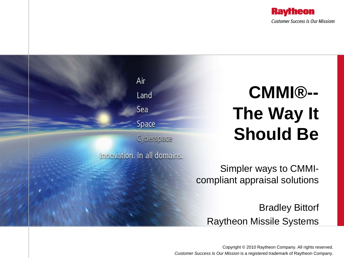



Copyright © 2010 Raytheon Company. All rights reserved. *Customer Success Is Our Mission* is a registered trademark of Raytheon Company.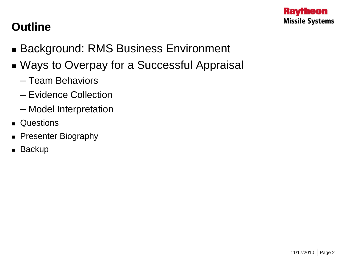

#### **Outline**

- Background: RMS Business Environment
- Ways to Overpay for a Successful Appraisal
	- Team Behaviors
	- Evidence Collection
	- Model Interpretation
- **Questions**
- **Presenter Biography**
- **Backup**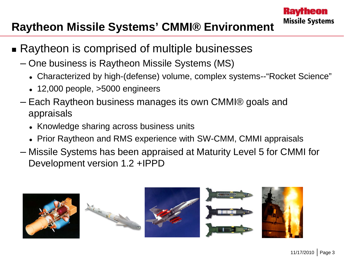#### **Raytheon Missile Systems' CMMI® Environment**

- Raytheon is comprised of multiple businesses
	- One business is Raytheon Missile Systems (MS)
		- Characterized by high-(defense) volume, complex systems--"Rocket Science"
		- $\cdot$  12,000 people,  $>5000$  engineers
	- Each Raytheon business manages its own CMMI® goals and appraisals
		- Knowledge sharing across business units
		- Prior Raytheon and RMS experience with SW-CMM, CMMI appraisals
	- Missile Systems has been appraised at Maturity Level 5 for CMMI for Development version 1.2 +IPPD









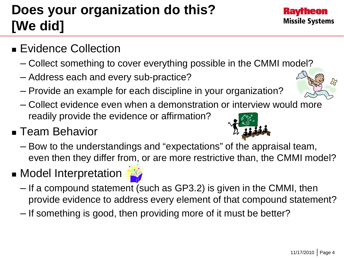## **Does your organization do this? [We did]**

- **Evidence Collection** 
	- Collect something to cover everything possible in the CMMI model?
	- Address each and every sub-practice?
	- Provide an example for each discipline in your organization?
	- Collect evidence even when a demonstration or interview would more readily provide the evidence or affirmation?

### ■ Team Behavior

- Bow to the understandings and "expectations" of the appraisal team, even then they differ from, or are more restrictive than, the CMMI model?
- **Model Interpretation** 
	- If a compound statement (such as GP3.2) is given in the CMMI, then provide evidence to address every element of that compound statement?
	- If something is good, then providing more of it must be better?





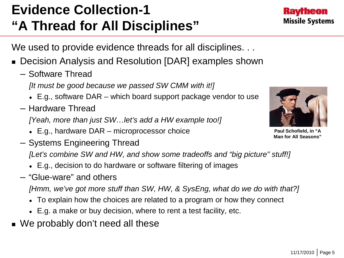## **Evidence Collection-1 "A Thread for All Disciplines"**

We used to provide evidence threads for all disciplines...

- Decision Analysis and Resolution [DAR] examples shown
	- Software Thread
		- *[It must be good because we passed SW CMM with it!]*
		- E.g., software DAR which board support package vendor to use
	- Hardware Thread

*[Yeah, more than just SW…let's add a HW example too!]*

- E.g., hardware DAR microprocessor choice
- Systems Engineering Thread

*[Let's combine SW and HW, and show some tradeoffs and "big picture" stuff!]*

- E.g., decision to do hardware or software filtering of images
- "Glue-ware" and others

*[Hmm, we've got more stuff than SW, HW, & SysEng, what do we do with that?]*

- To explain how the choices are related to a program or how they connect
- E.g. a make or buy decision, where to rent a test facility, etc.
- We probably don't need all these

**Paul Schofield, in "A Man for All Seasons"**



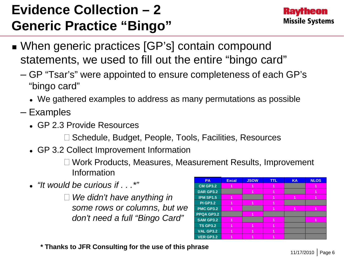## **Evidence Collection – 2 Generic Practice "Bingo"**



- When generic practices [GP's] contain compound statements, we used to fill out the entire "bingo card"
	- GP "Tsar's" were appointed to ensure completeness of each GP's "bingo card"
		- We gathered examples to address as many permutations as possible
	- Examples
		- GP 2.3 Provide Resources

 $\square$  Schedule, Budget, People, Tools, Facilities, Resources

GP 3.2 Collect Improvement Information

 Work Products, Measures, Measurement Results, Improvement Information

*"It would be curious if . . .\*"*

 *We didn't have anything in some rows or columns, but we don't need a full "Bingo Card"* 

| <b>PA</b>        | <b>Excal</b> | <b>JSOW</b> | <b>TTL</b> | <b>KA</b> | <b>NLOS</b> |
|------------------|--------------|-------------|------------|-----------|-------------|
| <b>CM GP3.2</b>  |              |             |            |           |             |
| <b>DAR GP3.2</b> |              | 1           |            |           | 1           |
| <b>IPM SP1.5</b> |              |             |            | 1         |             |
| <b>PI GP3.2</b>  |              | 1           |            |           |             |
| PMC GP3.2        |              |             | 4          | 4         | 1           |
| PPQA GP3.2       |              | 1           |            |           |             |
| <b>SAM GP3.2</b> |              |             |            |           |             |
| <b>TS GP3.2</b>  |              | 4           |            |           |             |
| <b>VAL GP3.2</b> |              | 1           |            |           |             |
| <b>VER GP3.2</b> |              |             |            |           |             |

**\* Thanks to JFR Consulting for the use of this phrase**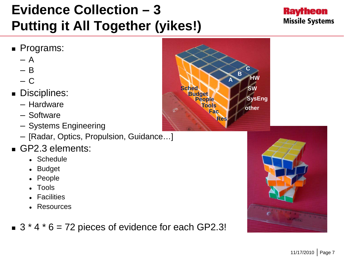## **Evidence Collection – 3 Putting it All Together (yikes!)**



#### **Programs:**

- $A$
- $B$
- $C$
- **Disciplines:** 
	- Hardware
	- Software
	- Systems Engineering
	- [Radar, Optics, Propulsion, Guidance…]
- GP2.3 elements:
	- Schedule
	- Budget
	- People
	- Tools
	- Facilities
	- Resources
- $\bullet$  3  $*$  4  $*$  6 = 72 pieces of evidence for each GP2.3!



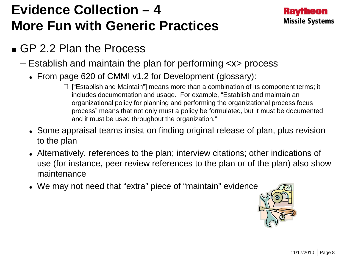## **Evidence Collection – 4 More Fun with Generic Practices**



#### GP 2.2 Plan the Process

- Establish and maintain the plan for performing <x> process
	- From page 620 of CMMI v1.2 for Development (glossary):
		- $\Box$  ["Establish and Maintain"] means more than a combination of its component terms; it includes documentation and usage. For example, "Establish and maintain an organizational policy for planning and performing the organizational process focus process" means that not only must a policy be formulated, but it must be documented and it must be used throughout the organization."
	- Some appraisal teams insist on finding original release of plan, plus revision to the plan
	- Alternatively, references to the plan; interview citations; other indications of use (for instance, peer review references to the plan or of the plan) also show maintenance
	- We may not need that "extra" piece of "maintain" evidence

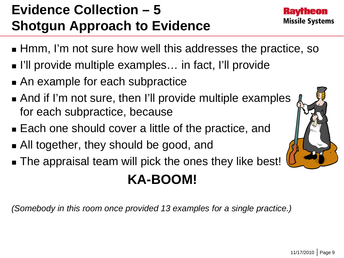## **Evidence Collection – 5 Shotgun Approach to Evidence**

- **He Hmm, I'm not sure how well this addresses the practice, so**
- I'll provide multiple examples... in fact, I'll provide
- An example for each subpractice
- And if I'm not sure, then I'll provide multiple examples for each subpractice, because
- **Each one should cover a little of the practice, and**
- All together, they should be good, and
- The appraisal team will pick the ones they like best!

# **KA-BOOM!**

*(Somebody in this room once provided 13 examples for a single practice.)*



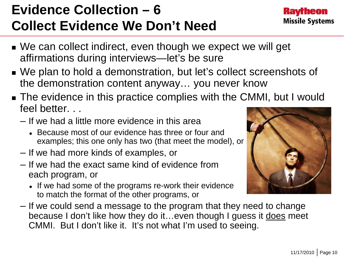## **Evidence Collection – 6 Collect Evidence We Don't Need**

- We can collect indirect, even though we expect we will get affirmations during interviews—let's be sure
- We plan to hold a demonstration, but let's collect screenshots of the demonstration content anyway… you never know
- **The evidence in this practice complies with the CMMI, but I would** feel better. . .
	- If we had a little more evidence in this area
		- Because most of our evidence has three or four and examples; this one only has two (that meet the model), or
	- If we had more kinds of examples, or
	- If we had the exact same kind of evidence from each program, or
		- If we had some of the programs re-work their evidence to match the format of the other programs, or
	- If we could send a message to the program that they need to change because I don't like how they do it... even though I guess it does meet CMMI. But I don't like it. It's not what I'm used to seeing.



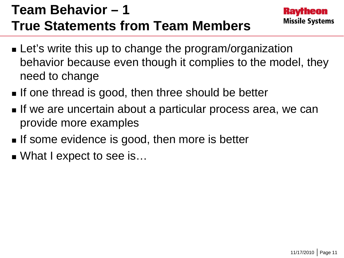## **Team Behavior – 1 True Statements from Team Members**

- **Let's write this up to change the program/organization** behavior because even though it complies to the model, they need to change
- If one thread is good, then three should be better
- **If we are uncertain about a particular process area, we can** provide more examples
- If some evidence is good, then more is better
- What I expect to see is...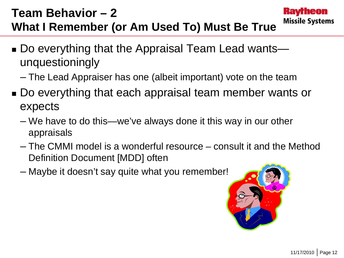### **Team Behavior – 2 What I Remember (or Am Used To) Must Be True**

- Do everything that the Appraisal Team Lead wants unquestioningly
	- The Lead Appraiser has one (albeit important) vote on the team
- Do everything that each appraisal team member wants or expects
	- We have to do this—we've always done it this way in our other appraisals
	- The CMMI model is a wonderful resource consult it and the Method Definition Document [MDD] often
	- Maybe it doesn't say quite what you remember!



**Kavrheon** 

**Missile Systems**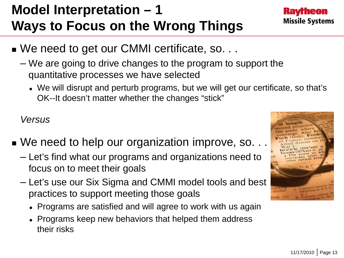#### 11/17/2010 | Page 13

## **Model Interpretation – 1 Ways to Focus on the Wrong Things**

- We need to get our CMMI certificate, so. . .
	- We are going to drive changes to the program to support the quantitative processes we have selected
		- We will disrupt and perturb programs, but we will get our certificate, so that's OK--It doesn't matter whether the changes "stick"

*Versus*

- We need to help our organization improve, so. . .
	- Let's find what our programs and organizations need to focus on to meet their goals
	- Let's use our Six Sigma and CMMI model tools and best practices to support meeting those goals
		- Programs are satisfied and will agree to work with us again
		- Programs keep new behaviors that helped them address their risks



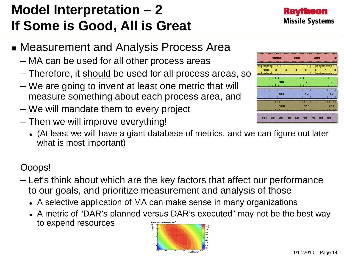#### 11/17/2010 | Page 14

## **Model Interpretation – 2 If Some is Good, All is Great**

- **Example 23 Incher Measurement and Analysis Process Area** 
	- MA can be used for all other process areas
	- Therefore, it should be used for all process areas, so
	- We are going to invent at least one metric that will measure something about each process area, and
	- We will mandate them to every project
	- Then we will improve everything!
		- (At least we will have a giant database of metrics, and we can figure out later what is most important)

#### Ooops!

- Let's think about which are the key factors that affect our performance to our goals, and prioritize measurement and analysis of those
	- A selective application of MA can make sense in many organizations
	- A metric of "DAR's planned versus DAR's executed" may not be the best way to expend resources





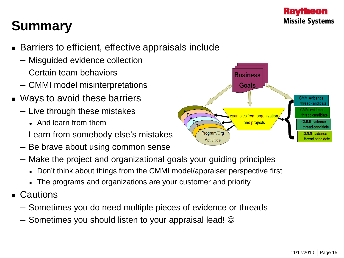

## **Summary**

- Barriers to efficient, effective appraisals include
	- Misguided evidence collection
	- Certain team behaviors
	- CMMI model misinterpretations
- Ways to avoid these barriers
	- Live through these mistakes
		- And learn from them
	- Learn from somebody else's mistakes
	- Be brave about using common sense
	- Make the project and organizational goals your guiding principles
		- Don't think about things from the CMMI model/appraiser perspective first
		- The programs and organizations are your customer and priority
- Cautions
	- Sometimes you do need multiple pieces of evidence or threads
	- $-$  Sometimes you should listen to your appraisal lead!  $\odot$

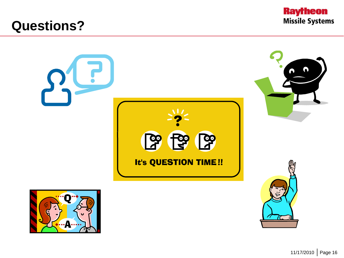### **Questions?**



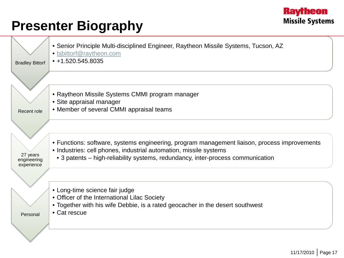#### **Raytheon Missile Systems**

## **Presenter Biography**

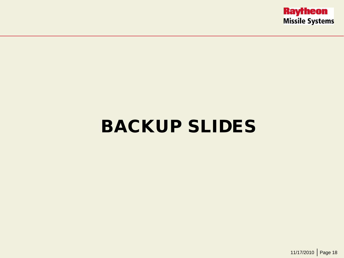

# BACKUP SLIDES

11/17/2010 | Page 18